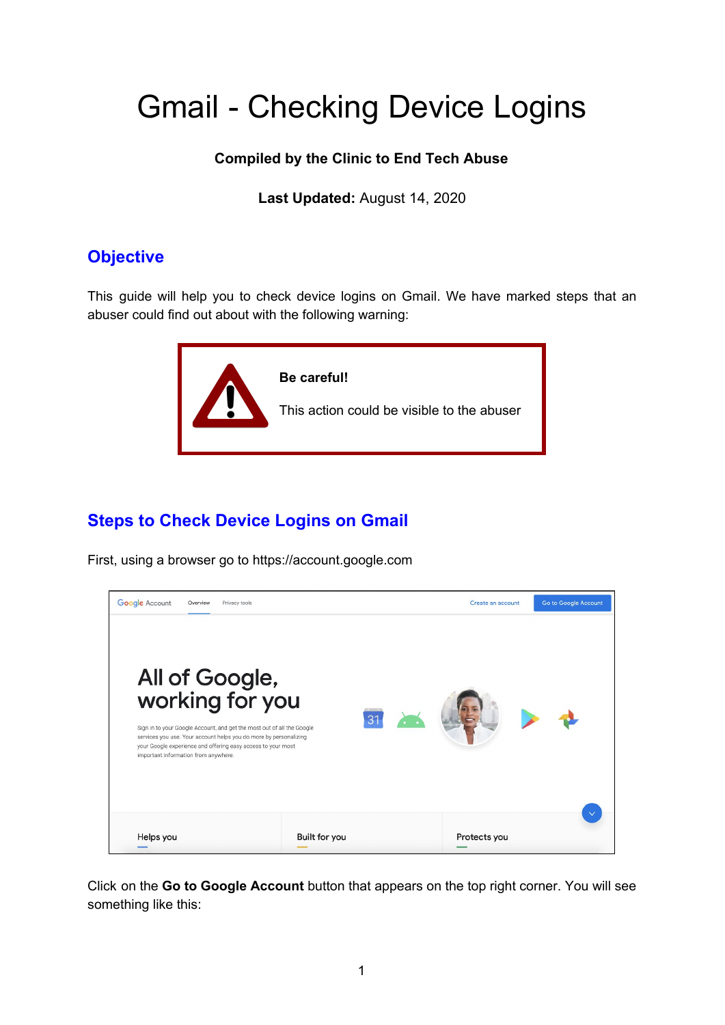## Gmail - Checking Device Logins

## **Compiled by the Clinic to End Tech Abuse**

**Last Updated:** August 14, 2020

## **Objective**

This guide will help you to check device logins on Gmail. We have marked steps that an abuser could find out about with the following warning:



## **Steps to Check Device Logins on Gmail**

First, using a browser go to https://account.google.com



Click on the **Go to Google Account** button that appears on the top right corner. You will see something like this: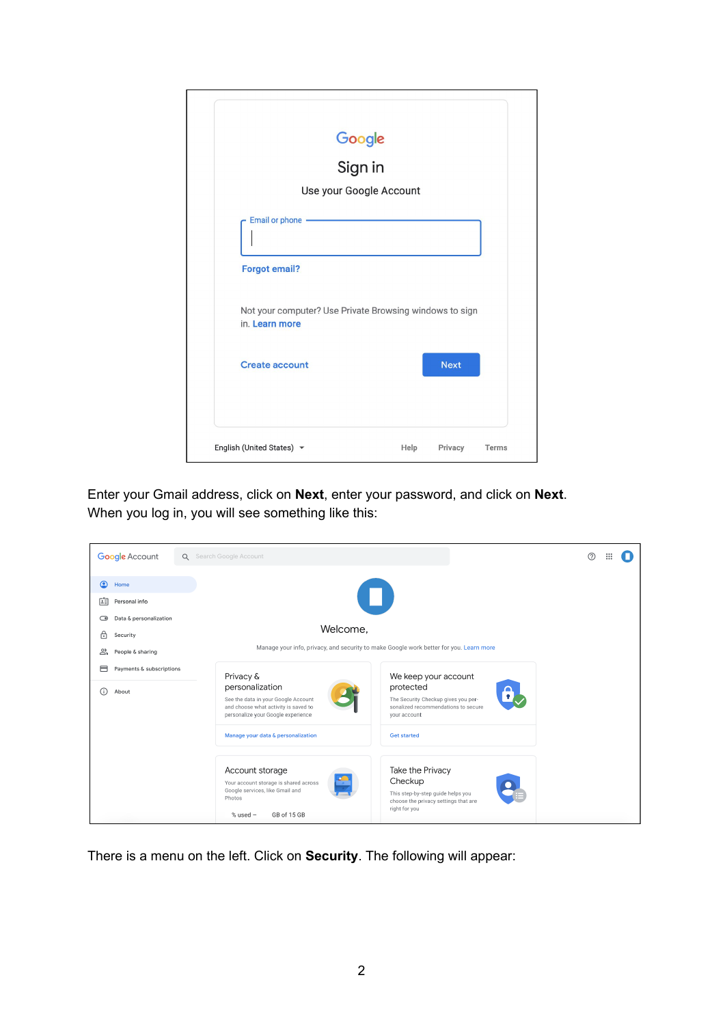| Google<br>Sign in                                                         |             |  |
|---------------------------------------------------------------------------|-------------|--|
|                                                                           |             |  |
| Use your Google Account                                                   |             |  |
| Email or phone -<br><b>Forgot email?</b>                                  |             |  |
| Not your computer? Use Private Browsing windows to sign<br>in. Learn more |             |  |
| <b>Create account</b>                                                     | <b>Next</b> |  |
|                                                                           |             |  |

Enter your Gmail address, click on **Next**, enter your password, and click on **Next**. When you log in, you will see something like this:

| <b>Google Account</b>                              | Q Search Google Account                                                                                                                                                                                                                                                              | ි |
|----------------------------------------------------|--------------------------------------------------------------------------------------------------------------------------------------------------------------------------------------------------------------------------------------------------------------------------------------|---|
| $\bullet$<br>Home<br>閨<br>Personal info            | $\Box$                                                                                                                                                                                                                                                                               |   |
| Data & personalization<br>$\circ$<br>்<br>Security | Welcome.                                                                                                                                                                                                                                                                             |   |
| చి<br>People & sharing                             | Manage your info, privacy, and security to make Google work better for you. Learn more                                                                                                                                                                                               |   |
| ⊟<br>Payments & subscriptions<br>⋒<br>About        | Privacy &<br>We keep your account<br>personalization<br>protected<br>See the data in your Google Account<br>The Security Checkup gives you per-<br>and choose what activity is saved to<br>sonalized recommendations to secure<br>personalize your Google experience<br>your account |   |
|                                                    | Manage your data & personalization<br><b>Get started</b>                                                                                                                                                                                                                             |   |
|                                                    | Take the Privacy<br>Account storage<br>Checkup<br>Your account storage is shared across<br>Google services, like Gmail and<br>This step-by-step guide helps you<br>Photos<br>choose the privacy settings that are<br>right for you<br>GB of 15 GB<br>$%$ used $-$                    |   |

There is a menu on the left. Click on **Security**. The following will appear: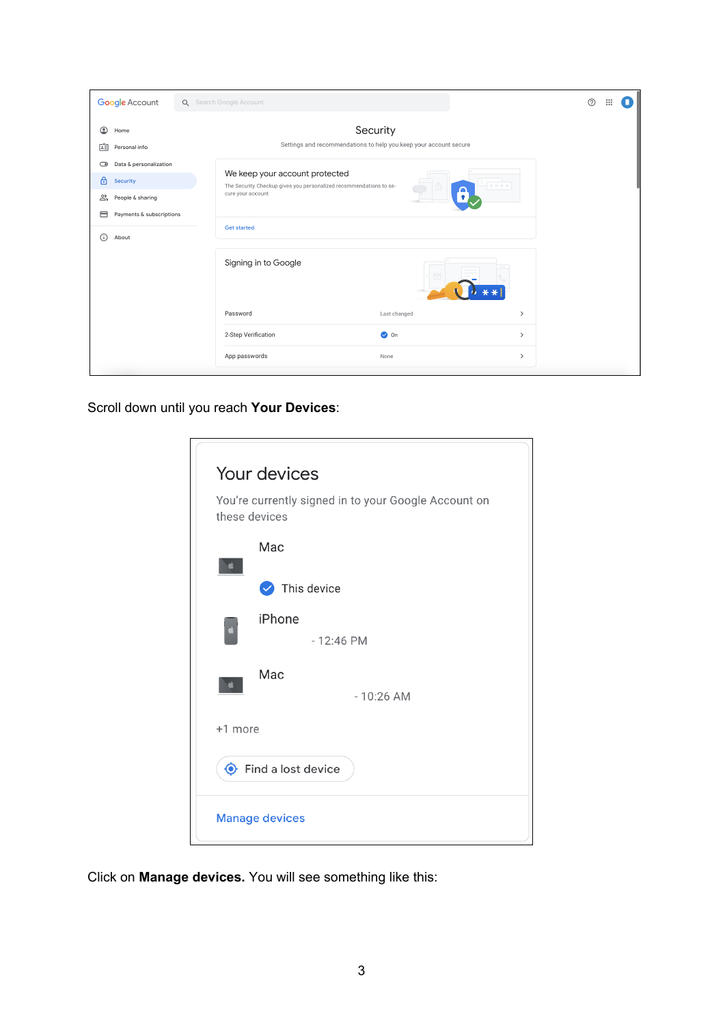| Google Account                                          | Q Search Google Account                                                                              |                                                                               |               | $\odot$ |
|---------------------------------------------------------|------------------------------------------------------------------------------------------------------|-------------------------------------------------------------------------------|---------------|---------|
| ◉<br>Home<br>陶<br>Personal info                         |                                                                                                      | Security<br>Settings and recommendations to help you keep your account secure |               |         |
| Data & personalization<br>$\bigcirc$<br>⊕<br>Security   | We keep your account protected<br>The Security Checkup gives you personalized recommendations to se- |                                                                               |               |         |
| చి<br>People & sharing<br>⊟<br>Payments & subscriptions | cure your account                                                                                    |                                                                               |               |         |
| (î)<br>About                                            | <b>Get started</b>                                                                                   |                                                                               |               |         |
|                                                         | Signing in to Google                                                                                 |                                                                               |               |         |
|                                                         | Password                                                                                             | Last changed                                                                  | $\,$          |         |
|                                                         | 2-Step Verification                                                                                  | $\bullet$ On                                                                  | $\rightarrow$ |         |
|                                                         | App passwords                                                                                        | None                                                                          | $\,$          |         |

Scroll down until you reach **Your Devices**:

| Your devices                                                          |  |  |  |  |
|-----------------------------------------------------------------------|--|--|--|--|
| You're currently signed in to your Google Account on<br>these devices |  |  |  |  |
| Mac                                                                   |  |  |  |  |
| $\blacktriangleright$ This device                                     |  |  |  |  |
| iPhone                                                                |  |  |  |  |
| $-12:46$ PM                                                           |  |  |  |  |
| Mac                                                                   |  |  |  |  |
| $-10:26$ AM                                                           |  |  |  |  |
| +1 more                                                               |  |  |  |  |
| $\bullet$ Find a lost device                                          |  |  |  |  |
| <b>Manage devices</b>                                                 |  |  |  |  |

Click on **Manage devices.** You will see something like this: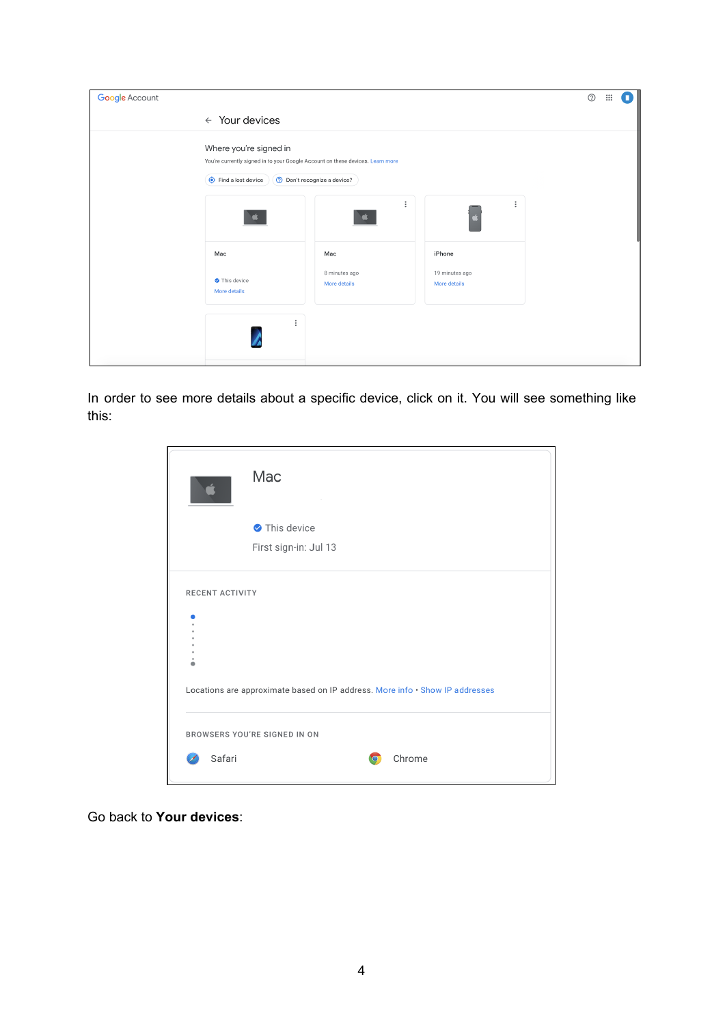| Google Account |                                                                                                                                                                    |                               |                                | $^{\circledR}$<br>$\dddot{}$ |  |
|----------------|--------------------------------------------------------------------------------------------------------------------------------------------------------------------|-------------------------------|--------------------------------|------------------------------|--|
|                | $\leftarrow$ Your devices                                                                                                                                          |                               |                                |                              |  |
|                | Where you're signed in<br>You're currently signed in to your Google Account on these devices. Learn more<br>Find a lost device<br><b>Don't recognize a device?</b> |                               |                                |                              |  |
|                |                                                                                                                                                                    | $\ddot{.}$                    | $\vdots$                       |                              |  |
|                | Mac                                                                                                                                                                | Mac                           | iPhone                         |                              |  |
|                | This device<br>More details                                                                                                                                        | 8 minutes ago<br>More details | 19 minutes ago<br>More details |                              |  |
|                | $\vdots$                                                                                                                                                           |                               |                                |                              |  |

In order to see more details about a specific device, click on it. You will see something like this:

|                        | Mac                                                                          |
|------------------------|------------------------------------------------------------------------------|
|                        | This device                                                                  |
|                        | First sign-in: Jul 13                                                        |
| <b>RECENT ACTIVITY</b> | Locations are approximate based on IP address. More info . Show IP addresses |
|                        | BROWSERS YOU'RE SIGNED IN ON                                                 |
| Safari                 | Chrome<br>O                                                                  |

Go back to **Your devices**: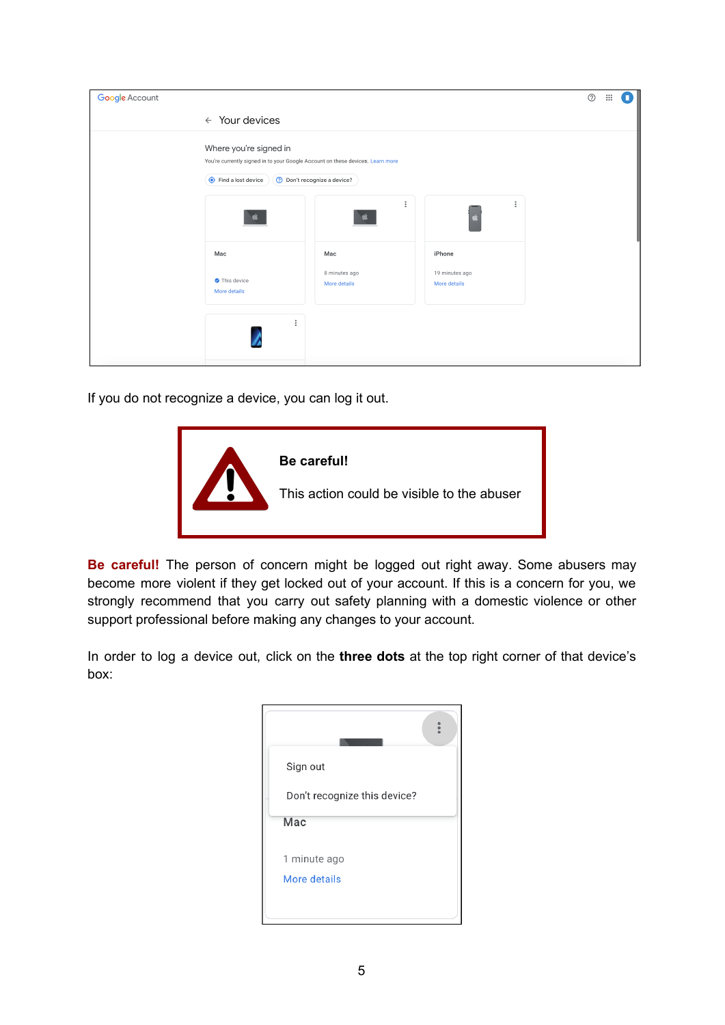| Google Account |                                                                                                                                                                      |                                      |                                          |  | $\circledcirc$ | $\ddot{\ddot{\bf 3}}$ |  |
|----------------|----------------------------------------------------------------------------------------------------------------------------------------------------------------------|--------------------------------------|------------------------------------------|--|----------------|-----------------------|--|
|                | $\leftarrow$ Your devices                                                                                                                                            |                                      |                                          |  |                |                       |  |
|                | Where you're signed in<br>You're currently signed in to your Google Account on these devices. Learn more<br>Find a lost device<br><b>O</b> Don't recognize a device? |                                      |                                          |  |                |                       |  |
|                |                                                                                                                                                                      | $\vdots$                             | $\vdots$                                 |  |                |                       |  |
|                | Mac<br>This device<br>More details                                                                                                                                   | Mac<br>8 minutes ago<br>More details | iPhone<br>19 minutes ago<br>More details |  |                |                       |  |
|                | $\vdots$                                                                                                                                                             |                                      |                                          |  |                |                       |  |

If you do not recognize a device, you can log it out.



**Be careful!** The person of concern might be logged out right away. Some abusers may become more violent if they get locked out of your account. If this is a concern for you, we strongly recommend that you carry out safety planning with a domestic violence or other support professional before making any changes to your account.

In order to log a device out, click on the **three dots** at the top right corner of that device's box:

| Sign out                     |  |
|------------------------------|--|
| Don't recognize this device? |  |
| Mac                          |  |
| 1 minute ago<br>More details |  |
|                              |  |